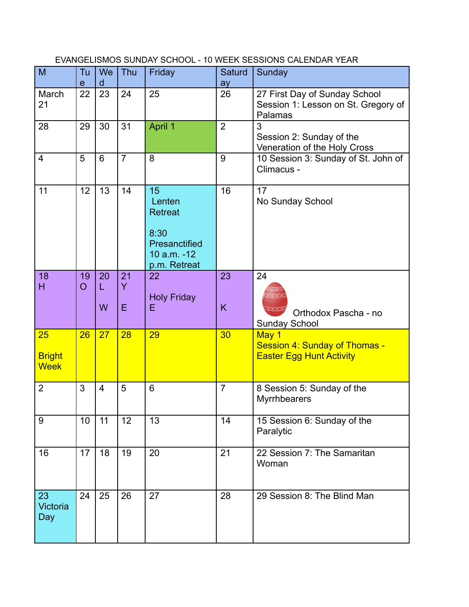## EVANGELISMOS SUNDAY SCHOOL - 10 WEEK SESSIONS CALENDAR YEAR

| M                                  | Tu<br>e              | We<br>d        | Thu            | Friday                                                                                 | <b>Saturd</b><br>ay | Sunday                                                                           |
|------------------------------------|----------------------|----------------|----------------|----------------------------------------------------------------------------------------|---------------------|----------------------------------------------------------------------------------|
| March<br>21                        | 22                   | 23             | 24             | 25                                                                                     | 26                  | 27 First Day of Sunday School<br>Session 1: Lesson on St. Gregory of<br>Palamas  |
| 28                                 | 29                   | 30             | 31             | April 1                                                                                | $\overline{2}$      | 3<br>Session 2: Sunday of the<br>Veneration of the Holy Cross                    |
| $\overline{4}$                     | 5                    | 6              | $\overline{7}$ | 8                                                                                      | 9                   | 10 Session 3: Sunday of St. John of<br>Climacus -                                |
| 11                                 | 12                   | 13             | 14             | 15<br>Lenten<br><b>Retreat</b><br>8:30<br>Presanctified<br>10 a.m. -12<br>p.m. Retreat | 16                  | 17<br>No Sunday School                                                           |
| 18<br>H                            | 19<br>$\overline{O}$ | 20<br>L        | 21<br>Y        | 22                                                                                     | 23                  | 24                                                                               |
|                                    |                      | W              | E              | <b>Holy Friday</b><br>Е                                                                | K                   | Orthodox Pascha - no<br><b>Sunday School</b>                                     |
| 25<br><b>Bright</b><br><b>Week</b> | 26                   | 27             | 28             | 29                                                                                     | 30                  | May 1<br><b>Session 4: Sunday of Thomas -</b><br><b>Easter Egg Hunt Activity</b> |
| $\overline{2}$                     | 3                    | $\overline{4}$ | 5              | 6                                                                                      | $\overline{7}$      | 8 Session 5: Sunday of the<br><b>Myrrhbearers</b>                                |
| 9                                  | 10                   | 11             | 12             | 13                                                                                     | 14                  | 15 Session 6: Sunday of the<br>Paralytic                                         |
| 16                                 | 17                   | 18             | 19             | 20                                                                                     | 21                  | 22 Session 7: The Samaritan<br>Woman                                             |
| 23<br><b>Victoria</b><br>Day       | 24                   | 25             | 26             | 27                                                                                     | 28                  | 29 Session 8: The Blind Man                                                      |